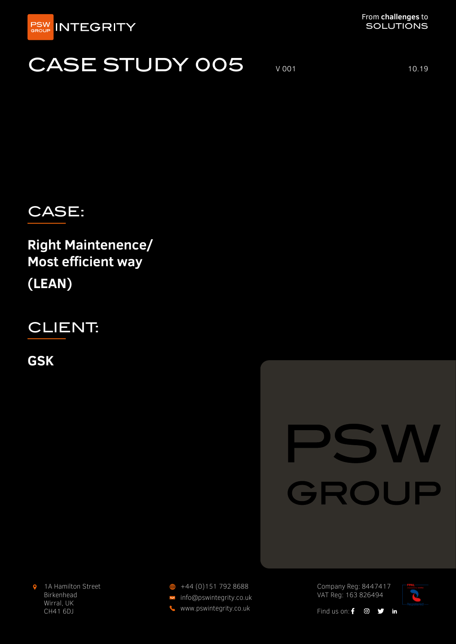

## CASE STUDY 005 VOO1 10.19



**Right Maintenence/ Most efficient way (LEAN)**

CLIENT:

**GSK**

# GROUP

 $\bullet$ 1A Hamilton Street Birkenhead Wirral, UK CH41 6DJ

info@pswintegrity.co.uk www.pswintegrity.co.uk  $\bigoplus$  +44 (0)151 792 8688

Company Reg: 8447417 VAT Reg: 163 826494



Find us on:  $f \odot y$  in